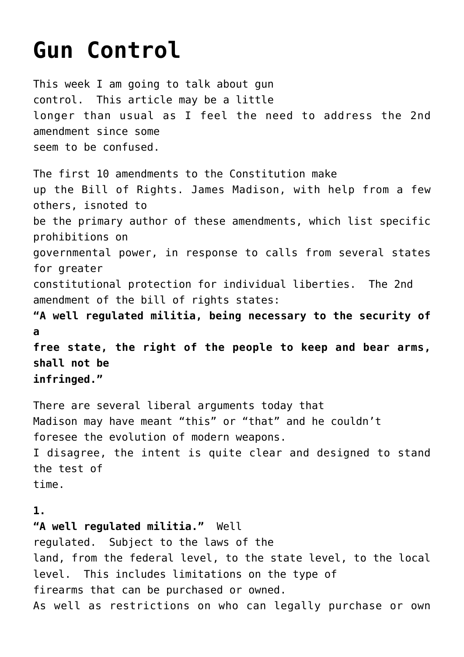## **[Gun Control](https://columbuscountyconservative.com/index.php/gun-control/)**

This week I am going to talk about gun control. This article may be a little longer than usual as I feel the need to address the 2nd amendment since some seem to be confused. The first 10 amendments to the Constitution make up the Bill of Rights. James Madison, with help from a few others, isnoted to be the primary author of these amendments, which list specific prohibitions on governmental power, in response to calls from several states for greater constitutional protection for individual liberties. The 2nd amendment of the bill of rights states: **"A well regulated militia, being necessary to the security of a free state, the right of the people to keep and bear arms, shall not be infringed."** There are several liberal arguments today that Madison may have meant "this" or "that" and he couldn't foresee the evolution of modern weapons. I disagree, the intent is quite clear and designed to stand the test of

time.

## **1.**

**"A well regulated militia."** Well regulated. Subject to the laws of the land, from the federal level, to the state level, to the local level. This includes limitations on the type of firearms that can be purchased or owned. As well as restrictions on who can legally purchase or own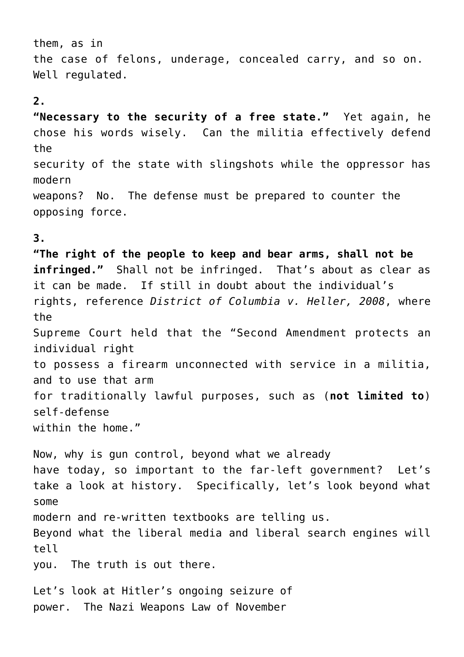them, as in the case of felons, underage, concealed carry, and so on. Well regulated.

## **2.**

**"Necessary to the security of a free state."** Yet again, he chose his words wisely. Can the militia effectively defend the security of the state with slingshots while the oppressor has modern weapons? No. The defense must be prepared to counter the opposing force.

## **3.**

**"The right of the people to keep and bear arms, shall not be infringed."** Shall not be infringed. That's about as clear as it can be made. If still in doubt about the individual's rights, reference *District of Columbia v. Heller, 2008*, where the Supreme Court held that the "Second Amendment protects an individual right to possess a firearm unconnected with service in a militia, and to use that arm for traditionally lawful purposes, such as (**not limited to**) self-defense within the home."

Now, why is gun control, beyond what we already have today, so important to the far-left government? Let's take a look at history. Specifically, let's look beyond what some modern and re-written textbooks are telling us. Beyond what the liberal media and liberal search engines will tell you. The truth is out there.

Let's look at Hitler's ongoing seizure of power. The Nazi Weapons Law of November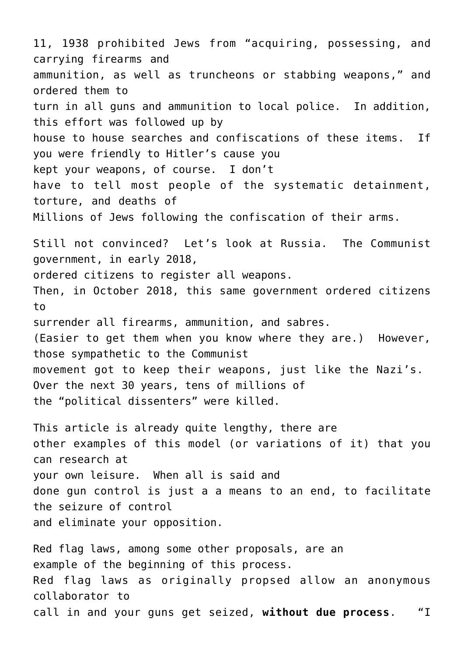11, 1938 prohibited Jews from "acquiring, possessing, and carrying firearms and ammunition, as well as truncheons or stabbing weapons," and ordered them to turn in all guns and ammunition to local police. In addition, this effort was followed up by house to house searches and confiscations of these items. If you were friendly to Hitler's cause you kept your weapons, of course. I don't have to tell most people of the systematic detainment, torture, and deaths of Millions of Jews following the confiscation of their arms. Still not convinced? Let's look at Russia. The Communist government, in early 2018, ordered citizens to register all weapons. Then, in October 2018, this same government ordered citizens to surrender all firearms, ammunition, and sabres. (Easier to get them when you know where they are.) However, those sympathetic to the Communist movement got to keep their weapons, just like the Nazi's. Over the next 30 years, tens of millions of the "political dissenters" were killed. This article is already quite lengthy, there are

other examples of this model (or variations of it) that you can research at your own leisure. When all is said and done gun control is just a a means to an end, to facilitate the seizure of control and eliminate your opposition.

Red flag laws, among some other proposals, are an example of the beginning of this process. Red flag laws as originally propsed allow an anonymous collaborator to call in and your guns get seized, **without due process**. "I